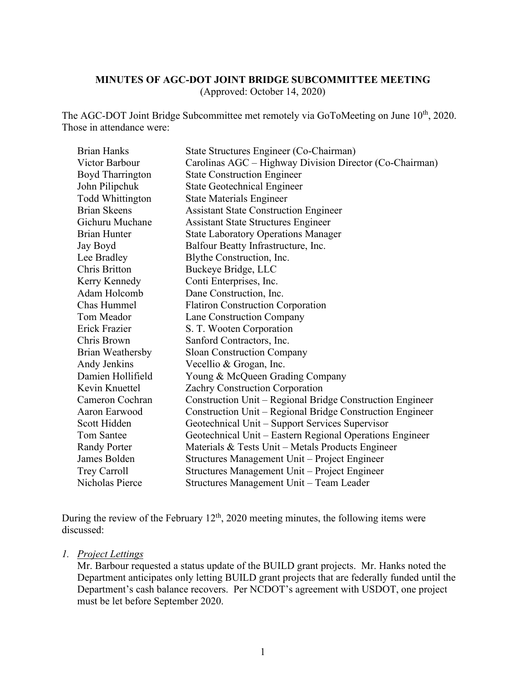### **MINUTES OF AGC-DOT JOINT BRIDGE SUBCOMMITTEE MEETING**

(Approved: October 14, 2020)

The AGC-DOT Joint Bridge Subcommittee met remotely via GoToMeeting on June 10<sup>th</sup>, 2020. Those in attendance were:

| <b>Brian Hanks</b>      | State Structures Engineer (Co-Chairman)                   |
|-------------------------|-----------------------------------------------------------|
| Victor Barbour          | Carolinas AGC – Highway Division Director (Co-Chairman)   |
| <b>Boyd Tharrington</b> | <b>State Construction Engineer</b>                        |
| John Pilipchuk          | <b>State Geotechnical Engineer</b>                        |
| <b>Todd Whittington</b> | <b>State Materials Engineer</b>                           |
| <b>Brian Skeens</b>     | <b>Assistant State Construction Engineer</b>              |
| Gichuru Muchane         | <b>Assistant State Structures Engineer</b>                |
| <b>Brian Hunter</b>     | <b>State Laboratory Operations Manager</b>                |
| Jay Boyd                | Balfour Beatty Infrastructure, Inc.                       |
| Lee Bradley             | Blythe Construction, Inc.                                 |
| Chris Britton           | Buckeye Bridge, LLC                                       |
| Kerry Kennedy           | Conti Enterprises, Inc.                                   |
| Adam Holcomb            | Dane Construction, Inc.                                   |
| Chas Hummel             | <b>Flatiron Construction Corporation</b>                  |
| Tom Meador              | Lane Construction Company                                 |
| Erick Frazier           | S. T. Wooten Corporation                                  |
| Chris Brown             | Sanford Contractors, Inc.                                 |
| Brian Weathersby        | <b>Sloan Construction Company</b>                         |
| Andy Jenkins            | Vecellio & Grogan, Inc.                                   |
| Damien Hollifield       | Young & McQueen Grading Company                           |
| Kevin Knuettel          | Zachry Construction Corporation                           |
| Cameron Cochran         | Construction Unit - Regional Bridge Construction Engineer |
| Aaron Earwood           | Construction Unit – Regional Bridge Construction Engineer |
| Scott Hidden            | Geotechnical Unit - Support Services Supervisor           |
| <b>Tom Santee</b>       | Geotechnical Unit – Eastern Regional Operations Engineer  |
| <b>Randy Porter</b>     | Materials & Tests Unit - Metals Products Engineer         |
| James Bolden            | Structures Management Unit - Project Engineer             |
| Trey Carroll            | Structures Management Unit - Project Engineer             |
| Nicholas Pierce         | Structures Management Unit - Team Leader                  |

During the review of the February  $12<sup>th</sup>$ , 2020 meeting minutes, the following items were discussed:

#### *1. Project Lettings*

Mr. Barbour requested a status update of the BUILD grant projects. Mr. Hanks noted the Department anticipates only letting BUILD grant projects that are federally funded until the Department's cash balance recovers. Per NCDOT's agreement with USDOT, one project must be let before September 2020.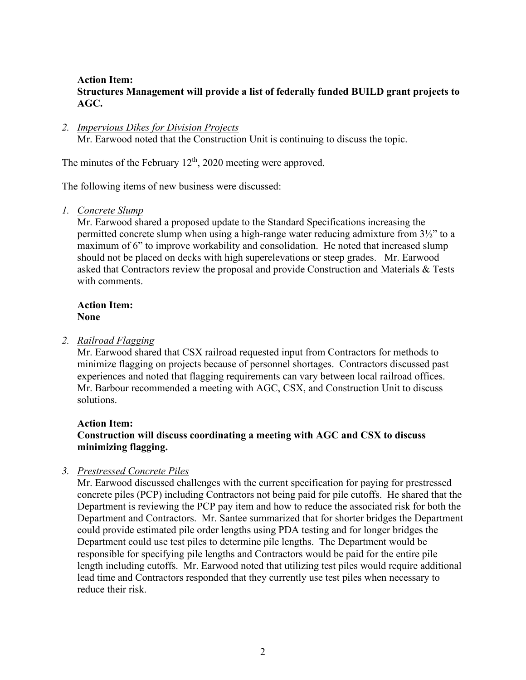## **Action Item: Structures Management will provide a list of federally funded BUILD grant projects to AGC.**

#### *2. Impervious Dikes for Division Projects*

Mr. Earwood noted that the Construction Unit is continuing to discuss the topic.

The minutes of the February  $12<sup>th</sup>$ , 2020 meeting were approved.

The following items of new business were discussed:

*1. Concrete Slump*

Mr. Earwood shared a proposed update to the Standard Specifications increasing the permitted concrete slump when using a high-range water reducing admixture from 3½" to a maximum of 6" to improve workability and consolidation. He noted that increased slump should not be placed on decks with high superelevations or steep grades. Mr. Earwood asked that Contractors review the proposal and provide Construction and Materials & Tests with comments.

## **Action Item: None**

#### *2. Railroad Flagging*

Mr. Earwood shared that CSX railroad requested input from Contractors for methods to minimize flagging on projects because of personnel shortages. Contractors discussed past experiences and noted that flagging requirements can vary between local railroad offices. Mr. Barbour recommended a meeting with AGC, CSX, and Construction Unit to discuss solutions.

# **Action Item:**

# **Construction will discuss coordinating a meeting with AGC and CSX to discuss minimizing flagging.**

#### *3. Prestressed Concrete Piles*

Mr. Earwood discussed challenges with the current specification for paying for prestressed concrete piles (PCP) including Contractors not being paid for pile cutoffs. He shared that the Department is reviewing the PCP pay item and how to reduce the associated risk for both the Department and Contractors. Mr. Santee summarized that for shorter bridges the Department could provide estimated pile order lengths using PDA testing and for longer bridges the Department could use test piles to determine pile lengths. The Department would be responsible for specifying pile lengths and Contractors would be paid for the entire pile length including cutoffs. Mr. Earwood noted that utilizing test piles would require additional lead time and Contractors responded that they currently use test piles when necessary to reduce their risk.